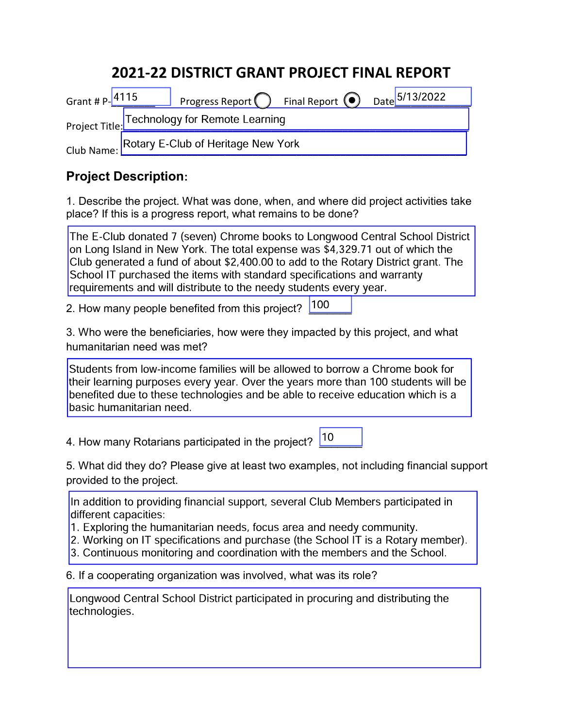# 2021-22 DISTRICT GRANT PROJECT FINAL REPORT

| Grant # P-4115                                                         |  | Progress Report   Final Report   Date 5/13/2022 |  |  |  |  |
|------------------------------------------------------------------------|--|-------------------------------------------------|--|--|--|--|
| Project Title: Technology for Remote Learning                          |  |                                                 |  |  |  |  |
| Rotary E-Club of Heritage New York<br>Club Name: $\sqrt{\phantom{a}N}$ |  |                                                 |  |  |  |  |

## Project Description:

1. Describe the project. What was done, when, and where did project activities take place? If this is a progress report, what remains to be done?

The E-Club donated 7 (seven) Chrome books to Longwood Central School District on Long Island in New York. The total expense was \$4,329.71 out of which the Club generated a fund of about \$2,400.00 to add to the Rotary District grant. The School IT purchased the items with standard specifications and warranty requirements and will distribute to the needy students every year.

2. How many people benefited from this project? <sup>100</sup>

3. Who were the beneficiaries, how were they impacted by this project, and what humanitarian need was met?

Students from low-income families will be allowed to borrow a Chrome book for their learning purposes every year. Over the years more than 100 students will be benefited due to these technologies and be able to receive education which is a basic humanitarian need.

4. How many Rotarians participated in the project?  $\boxed{10}$ 

5. What did they do? Please give at least two examples, not including financial support provided to the project.

In addition to providing financial support, several Club Members participated in different capacities:

1. Exploring the humanitarian needs, focus area and needy community.

2. Working on IT specifications and purchase (the School IT is a Rotary member).

3. Continuous monitoring and coordination with the members and the School.

6. If a cooperating organization was involved, what was its role?

Longwood Central School District participated in procuring and distributing the technologies.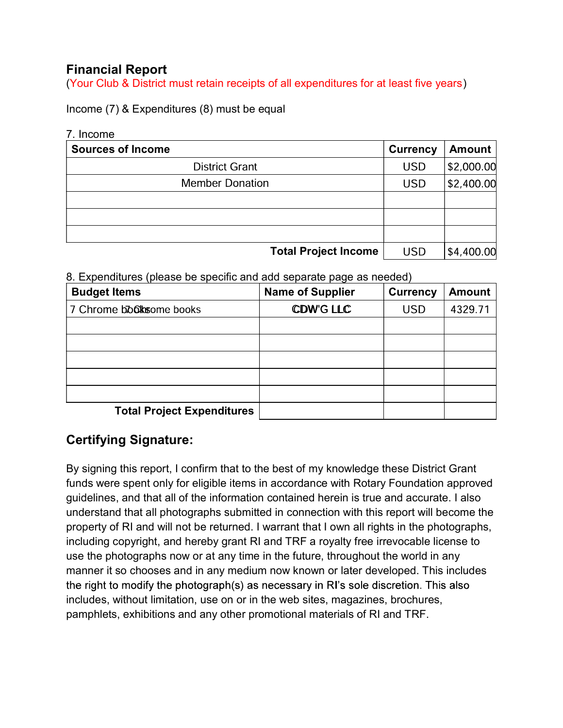## Financial Report

(Your Club & District must retain receipts of all expenditures for at least five years)

Income (7) & Expenditures (8) must be equal

#### 7. Income

| <b>Sources of Income</b>    | <b>Currency</b> | <b>Amount</b> |
|-----------------------------|-----------------|---------------|
| <b>District Grant</b>       | <b>USD</b>      | \$2,000.00    |
| <b>Member Donation</b>      | <b>USD</b>      | \$2,400.00    |
|                             |                 |               |
|                             |                 |               |
|                             |                 |               |
| <b>Total Project Income</b> | <b>USD</b>      | \$4,400.00    |

8. Expenditures (please be specific and add separate page as needed)

| <b>Budget Items</b>               | <b>Name of Supplier</b> | <b>Currency</b> | <b>Amount</b> |
|-----------------------------------|-------------------------|-----------------|---------------|
| 7 Chrome blooks ome books         | <b>CDW'G LLC</b>        | <b>USD</b>      | 4329.71       |
|                                   |                         |                 |               |
|                                   |                         |                 |               |
|                                   |                         |                 |               |
|                                   |                         |                 |               |
|                                   |                         |                 |               |
| <b>Total Project Expenditures</b> |                         |                 |               |

### Certifying Signature:

By signing this report, I confirm that to the best of my knowledge these District Grant funds were spent only for eligible items in accordance with Rotary Foundation approved guidelines, and that all of the information contained herein is true and accurate. I also understand that all photographs submitted in connection with this report will become the property of RI and will not be returned. I warrant that I own all rights in the photographs, including copyright, and hereby grant RI and TRF a royalty free irrevocable license to use the photographs now or at any time in the future, throughout the world in any manner it so chooses and in any medium now known or later developed. This includes the right to modify the photograph(s) as necessary in RI's sole discretion. This also includes, without limitation, use on or in the web sites, magazines, brochures, pamphlets, exhibitions and any other promotional materials of RI and TRF.